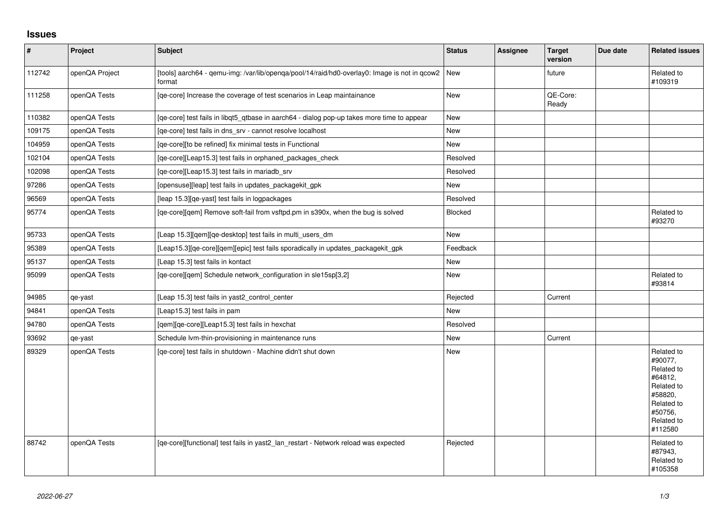## **Issues**

| $\vert$ # | Project        | <b>Subject</b>                                                                                         | <b>Status</b> | <b>Assignee</b> | <b>Target</b><br>version | Due date | <b>Related issues</b>                                                                                                     |
|-----------|----------------|--------------------------------------------------------------------------------------------------------|---------------|-----------------|--------------------------|----------|---------------------------------------------------------------------------------------------------------------------------|
| 112742    | openQA Project | [tools] aarch64 - qemu-img: /var/lib/openqa/pool/14/raid/hd0-overlay0: Image is not in qcow2<br>format | <b>New</b>    |                 | future                   |          | Related to<br>#109319                                                                                                     |
| 111258    | openQA Tests   | [qe-core] Increase the coverage of test scenarios in Leap maintainance                                 | New           |                 | QE-Core:<br>Ready        |          |                                                                                                                           |
| 110382    | openQA Tests   | [qe-core] test fails in libqt5_qtbase in aarch64 - dialog pop-up takes more time to appear             | <b>New</b>    |                 |                          |          |                                                                                                                           |
| 109175    | openQA Tests   | [qe-core] test fails in dns_srv - cannot resolve localhost                                             | New           |                 |                          |          |                                                                                                                           |
| 104959    | openQA Tests   | [qe-core][to be refined] fix minimal tests in Functional                                               | <b>New</b>    |                 |                          |          |                                                                                                                           |
| 102104    | openQA Tests   | [qe-core][Leap15.3] test fails in orphaned_packages_check                                              | Resolved      |                 |                          |          |                                                                                                                           |
| 102098    | openQA Tests   | [qe-core][Leap15.3] test fails in mariadb_srv                                                          | Resolved      |                 |                          |          |                                                                                                                           |
| 97286     | openQA Tests   | [opensuse][leap] test fails in updates_packagekit_gpk                                                  | <b>New</b>    |                 |                          |          |                                                                                                                           |
| 96569     | openQA Tests   | [leap 15.3][qe-yast] test fails in logpackages                                                         | Resolved      |                 |                          |          |                                                                                                                           |
| 95774     | openQA Tests   | [qe-core][qem] Remove soft-fail from vsftpd.pm in s390x, when the bug is solved                        | Blocked       |                 |                          |          | Related to<br>#93270                                                                                                      |
| 95733     | openQA Tests   | [Leap 15.3] [gem] [ge-desktop] test fails in multi users dm                                            | <b>New</b>    |                 |                          |          |                                                                                                                           |
| 95389     | openQA Tests   | [Leap15.3][qe-core][qem][epic] test fails sporadically in updates_packagekit_gpk                       | Feedback      |                 |                          |          |                                                                                                                           |
| 95137     | openQA Tests   | [Leap 15.3] test fails in kontact                                                                      | <b>New</b>    |                 |                          |          |                                                                                                                           |
| 95099     | openQA Tests   | [ge-core][gem] Schedule network configuration in sle15sp[3,2]                                          | New           |                 |                          |          | Related to<br>#93814                                                                                                      |
| 94985     | qe-yast        | [Leap 15.3] test fails in yast2_control_center                                                         | Rejected      |                 | Current                  |          |                                                                                                                           |
| 94841     | openQA Tests   | [Leap15.3] test fails in pam                                                                           | <b>New</b>    |                 |                          |          |                                                                                                                           |
| 94780     | openQA Tests   | [qem][qe-core][Leap15.3] test fails in hexchat                                                         | Resolved      |                 |                          |          |                                                                                                                           |
| 93692     | qe-yast        | Schedule Ivm-thin-provisioning in maintenance runs                                                     | <b>New</b>    |                 | Current                  |          |                                                                                                                           |
| 89329     | openQA Tests   | [qe-core] test fails in shutdown - Machine didn't shut down                                            | New           |                 |                          |          | Related to<br>#90077.<br>Related to<br>#64812,<br>Related to<br>#58820,<br>Related to<br>#50756,<br>Related to<br>#112580 |
| 88742     | openQA Tests   | [qe-core][functional] test fails in yast2_lan_restart - Network reload was expected                    | Rejected      |                 |                          |          | Related to<br>#87943,<br>Related to<br>#105358                                                                            |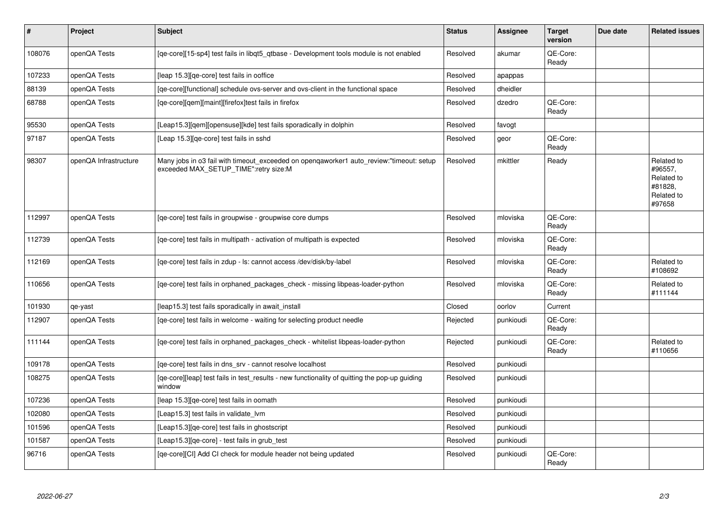| $\pmb{\#}$ | Project               | <b>Subject</b>                                                                                                                   | <b>Status</b> | Assignee  | <b>Target</b><br>version | Due date | <b>Related issues</b>                                                  |
|------------|-----------------------|----------------------------------------------------------------------------------------------------------------------------------|---------------|-----------|--------------------------|----------|------------------------------------------------------------------------|
| 108076     | openQA Tests          | [qe-core][15-sp4] test fails in libqt5_qtbase - Development tools module is not enabled                                          | Resolved      | akumar    | QE-Core:<br>Ready        |          |                                                                        |
| 107233     | openQA Tests          | [leap 15.3][ge-core] test fails in ooffice                                                                                       | Resolved      | apappas   |                          |          |                                                                        |
| 88139      | openQA Tests          | [ge-core][functional] schedule ovs-server and ovs-client in the functional space                                                 | Resolved      | dheidler  |                          |          |                                                                        |
| 68788      | openQA Tests          | [ge-core][gem][maint][firefox]test fails in firefox                                                                              | Resolved      | dzedro    | QE-Core:<br>Ready        |          |                                                                        |
| 95530      | openQA Tests          | [Leap15.3][qem][opensuse][kde] test fails sporadically in dolphin                                                                | Resolved      | favogt    |                          |          |                                                                        |
| 97187      | openQA Tests          | [Leap 15.3][ge-core] test fails in sshd                                                                                          | Resolved      | geor      | QE-Core:<br>Ready        |          |                                                                        |
| 98307      | openQA Infrastructure | Many jobs in o3 fail with timeout_exceeded on openqaworker1 auto_review:"timeout: setup<br>exceeded MAX_SETUP_TIME":retry size:M | Resolved      | mkittler  | Ready                    |          | Related to<br>#96557,<br>Related to<br>#81828,<br>Related to<br>#97658 |
| 112997     | openQA Tests          | [ge-core] test fails in groupwise - groupwise core dumps                                                                         | Resolved      | mloviska  | QE-Core:<br>Ready        |          |                                                                        |
| 112739     | openQA Tests          | [qe-core] test fails in multipath - activation of multipath is expected                                                          | Resolved      | mloviska  | QE-Core:<br>Ready        |          |                                                                        |
| 112169     | openQA Tests          | [qe-core] test fails in zdup - ls: cannot access /dev/disk/by-label                                                              | Resolved      | mloviska  | QE-Core:<br>Ready        |          | Related to<br>#108692                                                  |
| 110656     | openQA Tests          | [ge-core] test fails in orphaned packages check - missing libpeas-loader-python                                                  | Resolved      | mloviska  | QE-Core:<br>Ready        |          | Related to<br>#111144                                                  |
| 101930     | qe-yast               | [leap15.3] test fails sporadically in await install                                                                              | Closed        | oorlov    | Current                  |          |                                                                        |
| 112907     | openQA Tests          | [ge-core] test fails in welcome - waiting for selecting product needle                                                           | Rejected      | punkioudi | QE-Core:<br>Ready        |          |                                                                        |
| 111144     | openQA Tests          | [ge-core] test fails in orphaned packages check - whitelist libpeas-loader-python                                                | Rejected      | punkioudi | QE-Core:<br>Ready        |          | Related to<br>#110656                                                  |
| 109178     | openQA Tests          | [qe-core] test fails in dns_srv - cannot resolve localhost                                                                       | Resolved      | punkioudi |                          |          |                                                                        |
| 108275     | openQA Tests          | [qe-core][leap] test fails in test_results - new functionality of quitting the pop-up guiding<br>window                          | Resolved      | punkioudi |                          |          |                                                                        |
| 107236     | openQA Tests          | [leap 15.3][qe-core] test fails in oomath                                                                                        | Resolved      | punkioudi |                          |          |                                                                        |
| 102080     | openQA Tests          | [Leap15.3] test fails in validate_lvm                                                                                            | Resolved      | punkioudi |                          |          |                                                                        |
| 101596     | openQA Tests          | [Leap15.3][qe-core] test fails in ghostscript                                                                                    | Resolved      | punkioudi |                          |          |                                                                        |
| 101587     | openQA Tests          | [Leap15.3][qe-core] - test fails in grub_test                                                                                    | Resolved      | punkioudi |                          |          |                                                                        |
| 96716      | openQA Tests          | [ge-core][CI] Add CI check for module header not being updated                                                                   | Resolved      | punkioudi | QE-Core:<br>Ready        |          |                                                                        |